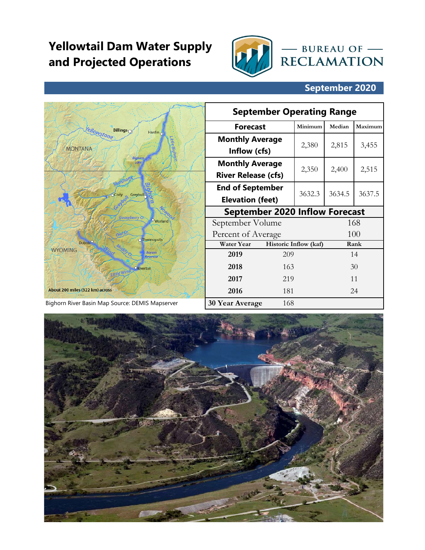## **Yellowtail Dam Water Supply and Projected Operations**



## **September 2020**

|                                                 |  | <b>September Operating Range</b>      |        |                       |        |         |  |  |  |
|-------------------------------------------------|--|---------------------------------------|--------|-----------------------|--------|---------|--|--|--|
| <b>Billings</b> O<br>Hàrdin <sub>O</sub>        |  | <b>Forecast</b>                       |        | Minimum               | Median | Maximum |  |  |  |
| <i>ellowstone</i>                               |  | <b>Monthly Average</b>                |        | 2,380                 | 2,815  | 3,455   |  |  |  |
| <b>MONTANA</b>                                  |  | Inflow (cfs)                          |        |                       |        |         |  |  |  |
| Bighorn<br>Lake                                 |  | <b>Monthly Average</b>                |        | 2,350                 | 2,400  | 2,515   |  |  |  |
|                                                 |  | <b>River Release (cfs)</b>            |        |                       |        |         |  |  |  |
| Greybull                                        |  | <b>End of September</b>               | 3632.3 | 3634.5                | 3637.5 |         |  |  |  |
|                                                 |  | <b>Elevation (feet)</b>               |        |                       |        |         |  |  |  |
| Gooseberry Cr.                                  |  | <b>September 2020 Inflow Forecast</b> |        |                       |        |         |  |  |  |
| Oworland                                        |  | September Volume                      |        |                       |        | 168     |  |  |  |
| o Thermopolis                                   |  | Percent of Average                    |        |                       | 100    |         |  |  |  |
| Dubois <sup>O</sup><br><b>WYOMING</b>           |  | <b>Water Year</b>                     |        | Historic Inflow (kaf) |        | Rank    |  |  |  |
| <b>Boysen</b><br>Reservoir                      |  | 2019                                  | 209    |                       |        | 14      |  |  |  |
| <b>ORiverton</b>                                |  | 2018                                  | 163    |                       |        | 30      |  |  |  |
|                                                 |  | 2017                                  | 219    |                       |        | 11      |  |  |  |
| About 200 miles (322 km) across                 |  | 2016                                  | 181    |                       |        | 24      |  |  |  |
| Bighorn River Basin Map Source: DEMIS Mapserver |  | <b>30 Year Average</b>                | 168    |                       |        |         |  |  |  |

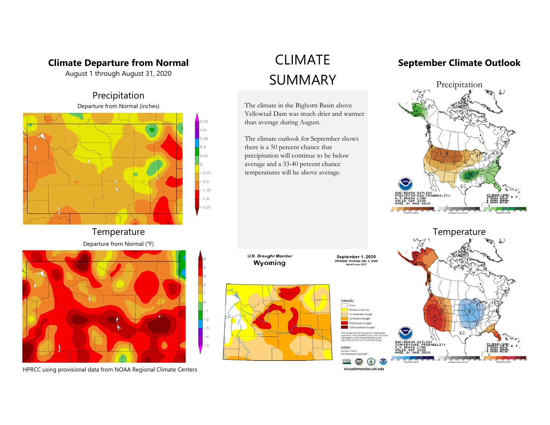#### **Climate Departure from Normal**

August 1 through August 31, 2020





**Temperature** 





HPRCC using provisional data from NOAA Regional Climate Centers

The climate in the Bighorn Basin above Yellowtail Dam was much drier and warmer than average during August.

The climate outlook for September shows there is a 50 percent chance that precipitation will continue to be below average and a 33-40 percent chance temperatures will be above average.

# CLIMATE **September Climate Outlook**





DO Ab 2 Severe Drought 33 Extreme Drought

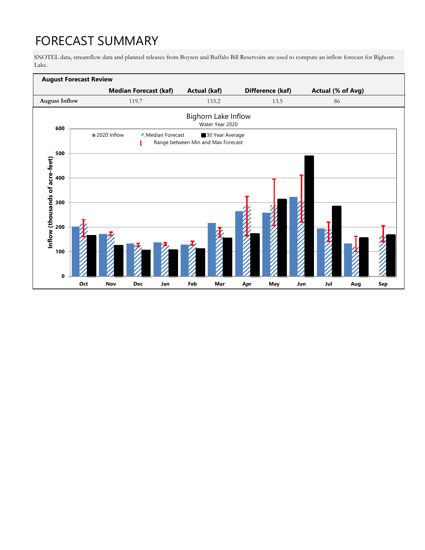# FORECAST SUMMARY

SNOTEL data, streamflow data and planned releases from Boysen and Buffalo Bill Reservoirs are used to compute an inflow forecast for Bighorn Lake.

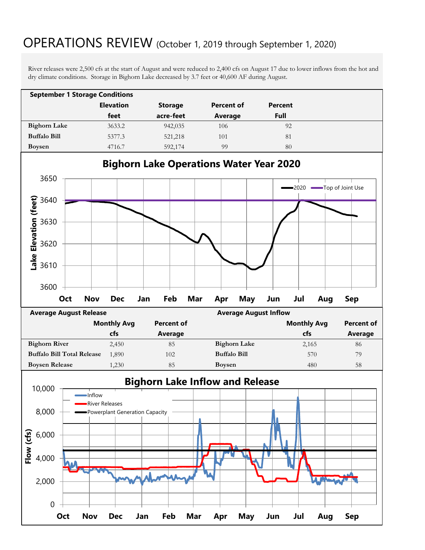## OPERATIONS REVIEW (October 1, 2019 through September 1, 2020)

River releases were 2,500 cfs at the start of August and were reduced to 2,400 cfs on August 17 due to lower inflows from the hot and dry climate conditions. Storage in Bighorn Lake decreased by 3.7 feet or 40,600 AF during August.

| <b>September 1 Storage Conditions</b> |                  |                |            |         |  |  |  |  |  |  |
|---------------------------------------|------------------|----------------|------------|---------|--|--|--|--|--|--|
|                                       | <b>Elevation</b> | <b>Storage</b> | Percent of | Percent |  |  |  |  |  |  |
|                                       | feet             | acre-feet      | Average    | Full    |  |  |  |  |  |  |
| <b>Bighorn Lake</b>                   | 3633.2           | 942,035        | 106        | 92      |  |  |  |  |  |  |
| <b>Buffalo Bill</b>                   | 5377.3           | 521,218        | 101        | 81      |  |  |  |  |  |  |
| <b>Boysen</b>                         | 4716.7           | 592,174        | 99         | 80      |  |  |  |  |  |  |



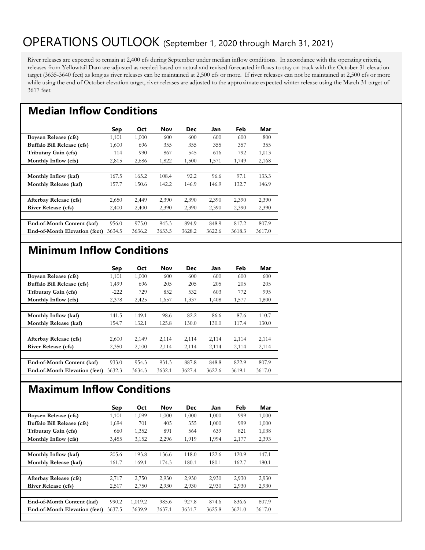## OPERATIONS OUTLOOK (September 1, 2020 through March 31, 2021)

River releases are expected to remain at 2,400 cfs during September under median inflow conditions. In accordance with the operating criteria, releases from Yellowtail Dam are adjusted as needed based on actual and revised forecasted inflows to stay on track with the October 31 elevation target (3635-3640 feet) as long as river releases can be maintained at 2,500 cfs or more. If river releases can not be maintained at 2,500 cfs or more while using the end of October elevation target, river releases are adjusted to the approximate expected winter release using the March 31 target of 3617 feet.

#### **Median Inflow Conditions**

|                               | Sep    | <b>Oct</b> | <b>Nov</b> | Dec    | Jan    | Feb    | Mar    |
|-------------------------------|--------|------------|------------|--------|--------|--------|--------|
| Boysen Release (cfs)          | 1,101  | 1,000      | 600        | 600    | 600    | 600    | 800    |
| Buffalo Bill Release (cfs)    | 1,600  | 696        | 355        | 355    | 355    | 357    | 355    |
| Tributary Gain (cfs)          | 114    | 990        | 867        | 545    | 616    | 792    | 1,013  |
| Monthly Inflow (cfs)          | 2,815  | 2,686      | 1,822      | 1,500  | 1,571  | 1,749  | 2,168  |
|                               |        |            |            |        |        |        |        |
| Monthly Inflow (kaf)          | 167.5  | 165.2      | 108.4      | 92.2   | 96.6   | 97.1   | 133.3  |
| Monthly Release (kaf)         | 157.7  | 150.6      | 142.2      | 146.9  | 146.9  | 132.7  | 146.9  |
|                               |        |            |            |        |        |        |        |
| Afterbay Release (cfs)        | 2,650  | 2,449      | 2,390      | 2,390  | 2,390  | 2,390  | 2,390  |
| <b>River Release (cfs)</b>    | 2,400  | 2,400      | 2,390      | 2,390  | 2,390  | 2,390  | 2,390  |
|                               |        |            |            |        |        |        |        |
| End-of-Month Content (kaf)    | 956.0  | 975.0      | 945.3      | 894.9  | 848.9  | 817.2  | 807.9  |
| End-of-Month Elevation (feet) | 3634.5 | 3636.2     | 3633.5     | 3628.2 | 3622.6 | 3618.3 | 3617.0 |

#### **Minimum Inflow Conditions**

|                               | Sep    | Oct    | <b>Nov</b> | <b>Dec</b> | Jan    | Feb    | Mar    |
|-------------------------------|--------|--------|------------|------------|--------|--------|--------|
| Boysen Release (cfs)          | 1,101  | 1,000  | 600        | 600        | 600    | 600    | 600    |
| Buffalo Bill Release (cfs)    | 1,499  | 696    | 205        | 205        | 205    | 205    | 205    |
| Tributary Gain (cfs)          | $-222$ | 729    | 852        | 532        | 603    | 772    | 995    |
| Monthly Inflow (cfs)          | 2,378  | 2,425  | 1,657      | 1,337      | 1,408  | 1,577  | 1,800  |
|                               |        |        |            |            |        |        |        |
| Monthly Inflow (kaf)          | 141.5  | 149.1  | 98.6       | 82.2       | 86.6   | 87.6   | 110.7  |
| Monthly Release (kaf)         | 154.7  | 132.1  | 125.8      | 130.0      | 130.0  | 117.4  | 130.0  |
|                               |        |        |            |            |        |        |        |
| Afterbay Release (cfs)        | 2,600  | 2,149  | 2,114      | 2,114      | 2,114  | 2,114  | 2,114  |
| <b>River Release (cfs)</b>    | 2,350  | 2,100  | 2,114      | 2,114      | 2,114  | 2,114  | 2,114  |
|                               |        |        |            |            |        |        |        |
| End-of-Month Content (kaf)    | 933.0  | 954.3  | 931.3      | 887.8      | 848.8  | 822.9  | 807.9  |
| End-of-Month Elevation (feet) | 3632.3 | 3634.3 | 3632.1     | 3627.4     | 3622.6 | 3619.1 | 3617.0 |

### **Maximum Inflow Conditions**

|                                      | Sep    | Oct     | <b>Nov</b> | <b>Dec</b> | Jan    | Feb    | Mar    |
|--------------------------------------|--------|---------|------------|------------|--------|--------|--------|
| Boysen Release (cfs)                 | 1,101  | 1,099   | 1,000      | 1,000      | 1,000  | 999    | 1,000  |
| Buffalo Bill Release (cfs)           | 1,694  | 701     | 405        | 355        | 1,000  | 999    | 1,000  |
| Tributary Gain (cfs)                 | 660    | 1,352   | 891        | 564        | 639    | 821    | 1,038  |
| Monthly Inflow (cfs)                 | 3,455  | 3,152   | 2,296      | 1,919      | 1,994  | 2,177  | 2,393  |
|                                      |        |         |            |            |        |        |        |
| Monthly Inflow (kaf)                 | 205.6  | 193.8   | 136.6      | 118.0      | 122.6  | 120.9  | 147.1  |
| Monthly Release (kaf)                | 161.7  | 169.1   | 174.3      | 180.1      | 180.1  | 162.7  | 180.1  |
|                                      |        |         |            |            |        |        |        |
| Afterbay Release (cfs)               | 2,717  | 2,750   | 2,930      | 2,930      | 2,930  | 2,930  | 2,930  |
| <b>River Release (cfs)</b>           | 2,517  | 2,750   | 2,930      | 2,930      | 2,930  | 2,930  | 2,930  |
|                                      |        |         |            |            |        |        |        |
| End-of-Month Content (kaf)           | 990.2  | 1,019.2 | 985.6      | 927.8      | 874.6  | 836.6  | 807.9  |
| <b>End-of-Month Elevation (feet)</b> | 3637.5 | 3639.9  | 3637.1     | 3631.7     | 3625.8 | 3621.0 | 3617.0 |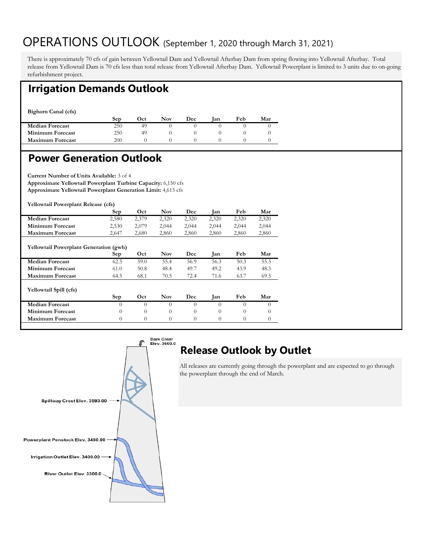## OPERATIONS OUTLOOK (September 1, 2020 through March 31, 2021)

There is approximately 70 cfs of gain between Yellowtail Dam and Yellowtail Afterbay Dam from spring flowing into Yellowtail Afterbay. Total release from Yellowtail Dam is 70 cfs less than total release from Yellowtail Afterbay Dam. Yellowtail Powerplant is limited to 3 units due to on-going refurbishment project.

#### **Irrigation Demands Outlook**

**Bighorn Canal (cfs)** 

|                         | Ser | Oct | <b>Nov</b> | Dec | lan | Feb | Mar |
|-------------------------|-----|-----|------------|-----|-----|-----|-----|
| <b>Median Forecast</b>  | 250 |     |            |     |     |     |     |
| <b>Minimum Forecast</b> | 250 | 49  |            |     |     |     |     |
| <b>Maximum Forecast</b> | 200 |     |            |     |     |     |     |
|                         |     |     |            |     |     |     |     |

#### **Power Generation Outlook**

**Current Number of Units Available:** 3 of 4 **Approximate Yellowtail Powerplant Turbine Capacity:** 6,150 cfs **Approximate Yellowtail Powerplant Generation Limit:** 4,615 cfs

**Yellowtail Powerplant Release (cfs)** 

|                                               | Sep      | Oct      | <b>Nov</b> | Dec      | Jan      | Feb      | Mar      |
|-----------------------------------------------|----------|----------|------------|----------|----------|----------|----------|
| <b>Median Forecast</b>                        | 2,580    | 2,379    | 2,320      | 2,320    | 2,320    | 2,320    | 2,320    |
| Minimum Forecast                              | 2,530    | 2,079    | 2,044      | 2,044    | 2,044    | 2,044    | 2,044    |
| <b>Maximum Forecast</b>                       | 2,647    | 2,680    | 2,860      | 2,860    | 2,860    | 2,860    | 2,860    |
| <b>Yellowtail Powerplant Generation (gwh)</b> | Sep      | Oct      | <b>Nov</b> | Dec      | Jan      | Feb      | Mar      |
| <b>Median Forecast</b>                        | 62.5     | 59.0     | 55.4       | 56.9     | 56.3     | 50.3     | 55.3     |
| Minimum Forecast                              | 61.0     | 50.8     | 48.4       | 49.7     | 49.2     | 43.9     | 48.3     |
|                                               |          |          |            |          |          |          |          |
| <b>Maximum Forecast</b>                       | 64.5     | 68.1     | 70.5       | 72.4     | 71.6     | 63.7     | 69.5     |
| <b>Yellowtail Spill (cfs)</b>                 |          |          |            |          |          |          |          |
|                                               | Sep      | Oct      | <b>Nov</b> | Dec      | Jan      | Feb      | Mar      |
| <b>Median Forecast</b>                        | $\Omega$ | $\Omega$ | $\Omega$   | $\Omega$ | $\Omega$ | $\Omega$ | $\Omega$ |
| Minimum Forecast                              | $\Omega$ | $\Omega$ | $\Omega$   | $\Omega$ | $\Omega$ | 0        | $\theta$ |
| <b>Maximum Forecast</b>                       | $\Omega$ | $\theta$ | $\Omega$   | $\Omega$ | $\Omega$ | $\Omega$ | $\theta$ |
|                                               |          |          |            |          |          |          |          |



## **Release Outlook by Outlet**

All releases are currently going through the powerplant and are expected to go through the powerplant through the end of March.